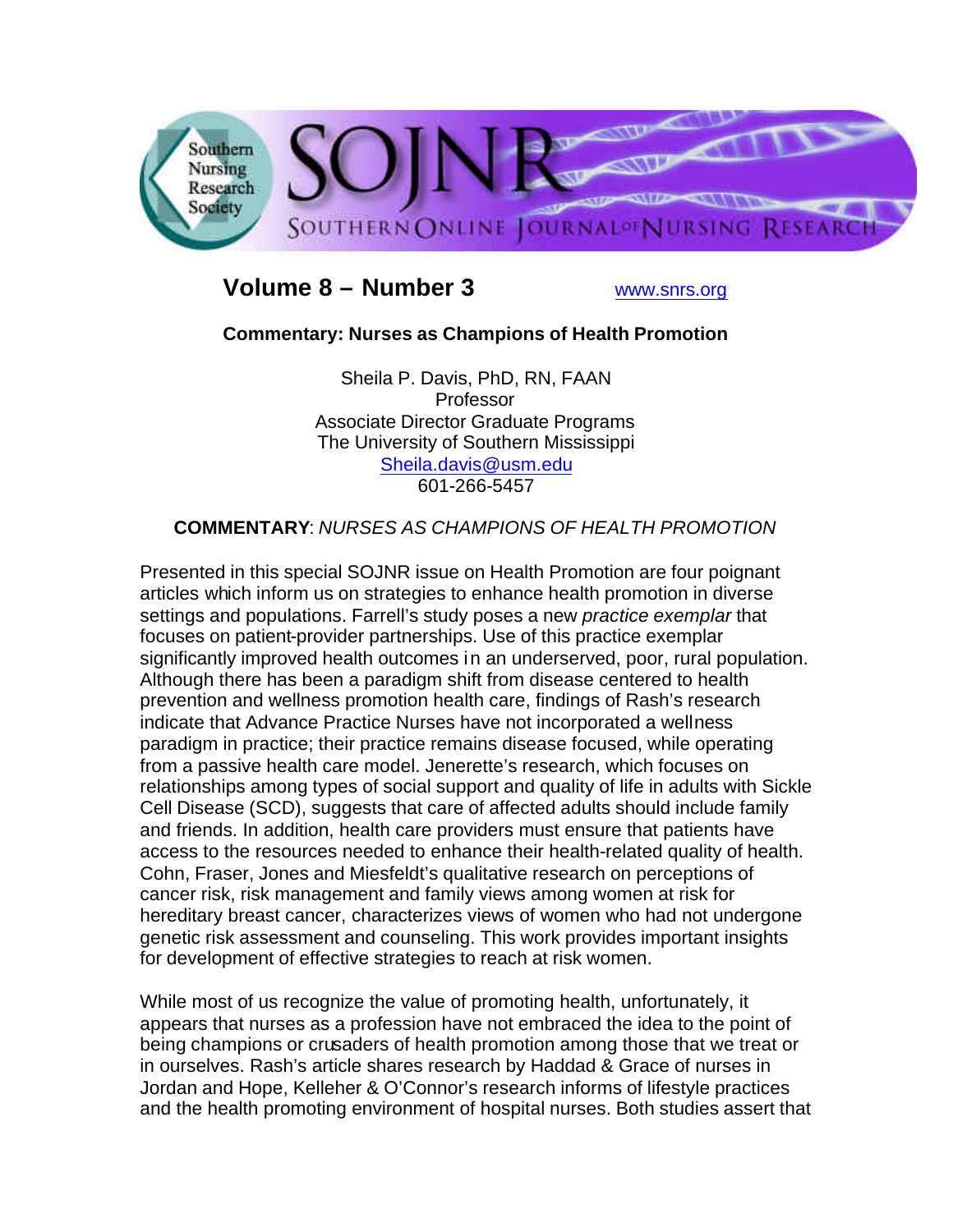

## **Volume 8 – Number 3** www.snrs.org

## **Commentary: Nurses as Champions of Health Promotion**

Sheila P. Davis, PhD, RN, FAAN Professor Associate Director Graduate Programs The University of Southern Mississippi Sheila.davis@usm.edu 601-266-5457

## **COMMENTARY**: *NURSES AS CHAMPIONS OF HEALTH PROMOTION*

Presented in this special SOJNR issue on Health Promotion are four poignant articles which inform us on strategies to enhance health promotion in diverse settings and populations. Farrell's study poses a new *practice exemplar* that focuses on patient-provider partnerships. Use of this practice exemplar significantly improved health outcomes in an underserved, poor, rural population. Although there has been a paradigm shift from disease centered to health prevention and wellness promotion health care, findings of Rash's research indicate that Advance Practice Nurses have not incorporated a wellness paradigm in practice; their practice remains disease focused, while operating from a passive health care model. Jenerette's research, which focuses on relationships among types of social support and quality of life in adults with Sickle Cell Disease (SCD), suggests that care of affected adults should include family and friends. In addition, health care providers must ensure that patients have access to the resources needed to enhance their health-related quality of health. Cohn, Fraser, Jones and Miesfeldt's qualitative research on perceptions of cancer risk, risk management and family views among women at risk for hereditary breast cancer, characterizes views of women who had not undergone genetic risk assessment and counseling. This work provides important insights for development of effective strategies to reach at risk women.

While most of us recognize the value of promoting health, unfortunately, it appears that nurses as a profession have not embraced the idea to the point of being champions or crusaders of health promotion among those that we treat or in ourselves. Rash's article shares research by Haddad & Grace of nurses in Jordan and Hope, Kelleher & O'Connor's research informs of lifestyle practices and the health promoting environment of hospital nurses. Both studies assert that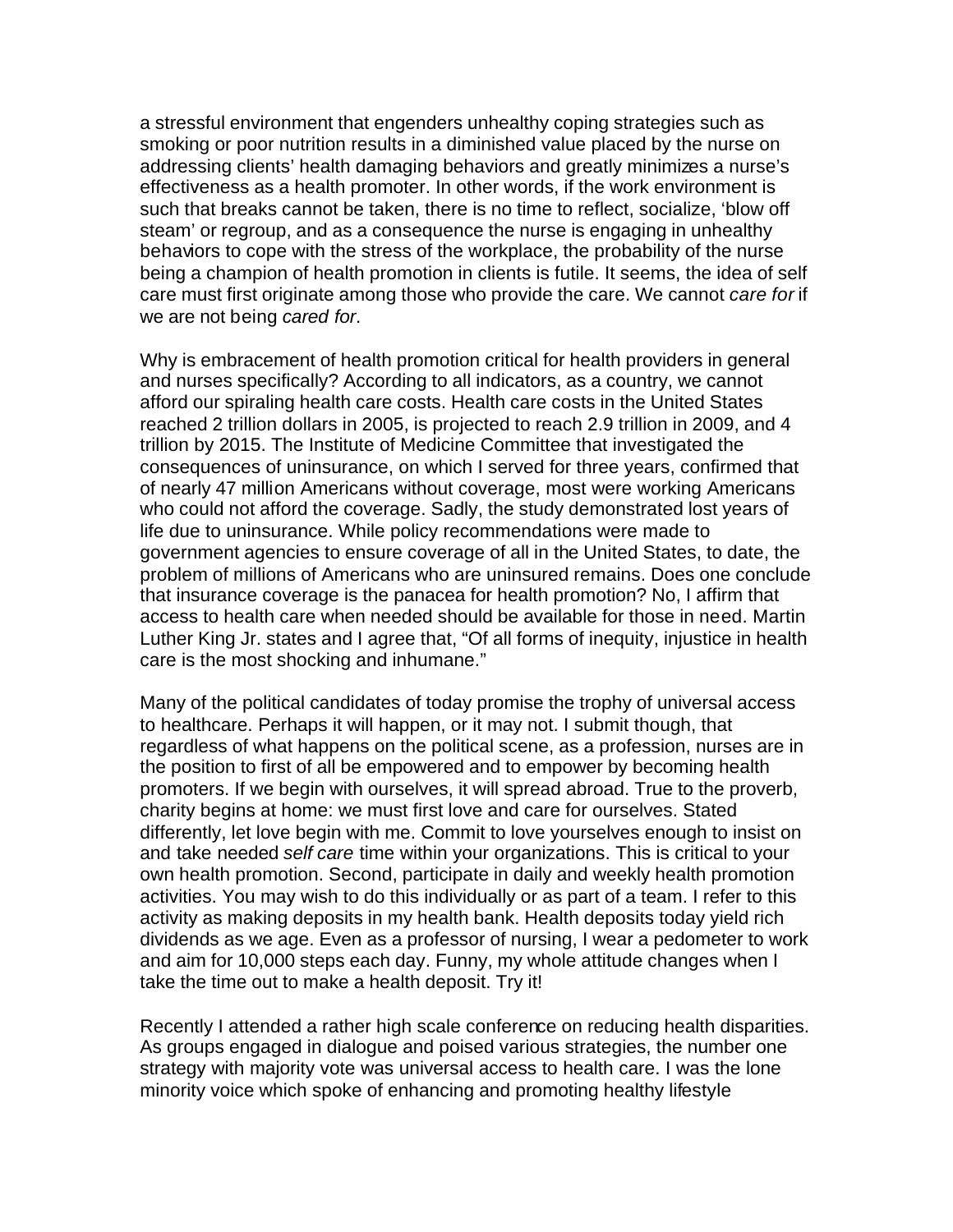a stressful environment that engenders unhealthy coping strategies such as smoking or poor nutrition results in a diminished value placed by the nurse on addressing clients' health damaging behaviors and greatly minimizes a nurse's effectiveness as a health promoter. In other words, if the work environment is such that breaks cannot be taken, there is no time to reflect, socialize, 'blow off steam' or regroup, and as a consequence the nurse is engaging in unhealthy behaviors to cope with the stress of the workplace, the probability of the nurse being a champion of health promotion in clients is futile. It seems, the idea of self care must first originate among those who provide the care. We cannot *care for* if we are not being *cared for*.

Why is embracement of health promotion critical for health providers in general and nurses specifically? According to all indicators, as a country, we cannot afford our spiraling health care costs. Health care costs in the United States reached 2 trillion dollars in 2005, is projected to reach 2.9 trillion in 2009, and 4 trillion by 2015. The Institute of Medicine Committee that investigated the consequences of uninsurance, on which I served for three years, confirmed that of nearly 47 million Americans without coverage, most were working Americans who could not afford the coverage. Sadly, the study demonstrated lost years of life due to uninsurance. While policy recommendations were made to government agencies to ensure coverage of all in the United States, to date, the problem of millions of Americans who are uninsured remains. Does one conclude that insurance coverage is the panacea for health promotion? No, I affirm that access to health care when needed should be available for those in need. Martin Luther King Jr. states and I agree that, "Of all forms of inequity, injustice in health care is the most shocking and inhumane."

Many of the political candidates of today promise the trophy of universal access to healthcare. Perhaps it will happen, or it may not. I submit though, that regardless of what happens on the political scene, as a profession, nurses are in the position to first of all be empowered and to empower by becoming health promoters. If we begin with ourselves, it will spread abroad. True to the proverb, charity begins at home: we must first love and care for ourselves. Stated differently, let love begin with me. Commit to love yourselves enough to insist on and take needed *self care* time within your organizations. This is critical to your own health promotion. Second, participate in daily and weekly health promotion activities. You may wish to do this individually or as part of a team. I refer to this activity as making deposits in my health bank. Health deposits today yield rich dividends as we age. Even as a professor of nursing, I wear a pedometer to work and aim for 10,000 steps each day. Funny, my whole attitude changes when I take the time out to make a health deposit. Try it!

Recently I attended a rather high scale conference on reducing health disparities. As groups engaged in dialogue and poised various strategies, the number one strategy with majority vote was universal access to health care. I was the lone minority voice which spoke of enhancing and promoting healthy lifestyle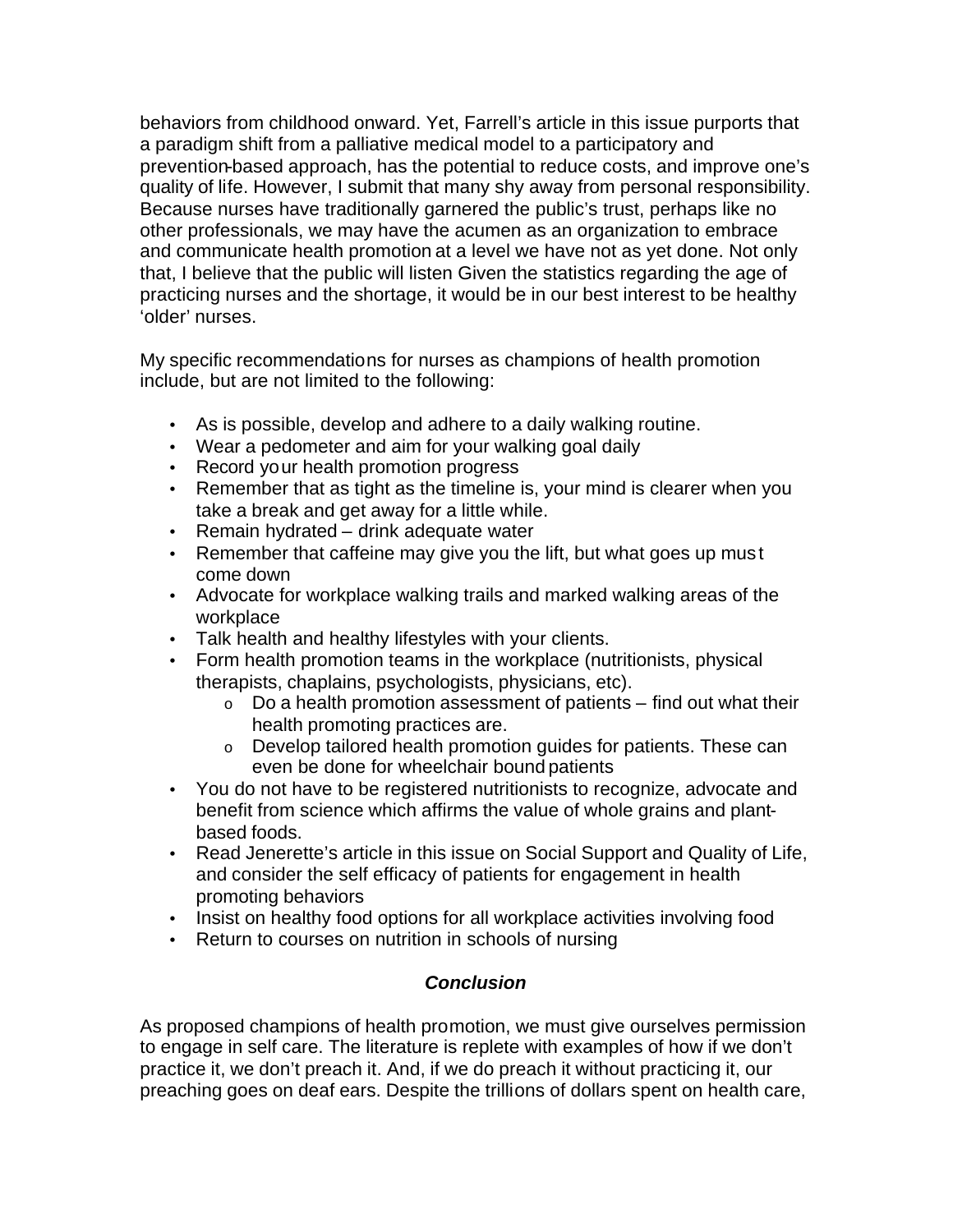behaviors from childhood onward. Yet, Farrell's article in this issue purports that a paradigm shift from a palliative medical model to a participatory and prevention-based approach, has the potential to reduce costs, and improve one's quality of life. However, I submit that many shy away from personal responsibility. Because nurses have traditionally garnered the public's trust, perhaps like no other professionals, we may have the acumen as an organization to embrace and communicate health promotion at a level we have not as yet done. Not only that, I believe that the public will listen Given the statistics regarding the age of practicing nurses and the shortage, it would be in our best interest to be healthy 'older' nurses.

My specific recommendations for nurses as champions of health promotion include, but are not limited to the following:

- As is possible, develop and adhere to a daily walking routine.
- Wear a pedometer and aim for your walking goal daily
- Record your health promotion progress
- Remember that as tight as the timeline is, your mind is clearer when you take a break and get away for a little while.
- Remain hydrated drink adequate water
- Remember that caffeine may give you the lift, but what goes up must come down
- Advocate for workplace walking trails and marked walking areas of the workplace
- Talk health and healthy lifestyles with your clients.
- Form health promotion teams in the workplace (nutritionists, physical therapists, chaplains, psychologists, physicians, etc).
	- $\circ$  Do a health promotion assessment of patients find out what their health promoting practices are.
	- o Develop tailored health promotion guides for patients. These can even be done for wheelchair bound patients
- You do not have to be registered nutritionists to recognize, advocate and benefit from science which affirms the value of whole grains and plantbased foods.
- Read Jenerette's article in this issue on Social Support and Quality of Life, and consider the self efficacy of patients for engagement in health promoting behaviors
- Insist on healthy food options for all workplace activities involving food
- Return to courses on nutrition in schools of nursing

## *Conclusion*

As proposed champions of health promotion, we must give ourselves permission to engage in self care. The literature is replete with examples of how if we don't practice it, we don't preach it. And, if we do preach it without practicing it, our preaching goes on deaf ears. Despite the trillions of dollars spent on health care,